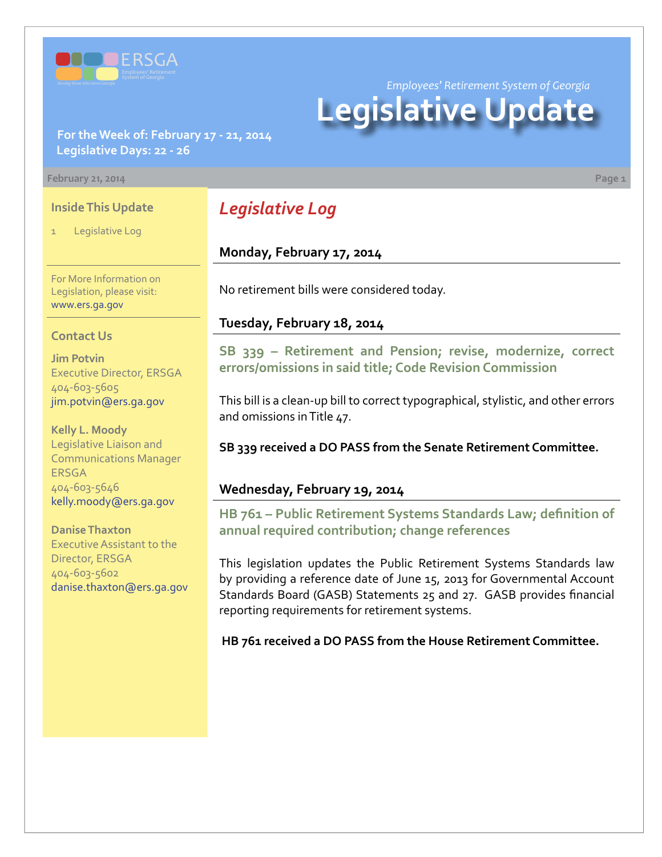

**For the Week of: February 17 - 21, 2014 Legislative Days: 22 - 26**

#### **February 21, 2014 Page 1**

#### **Inside This Update**

Legislative Log

For More Information on Legislation, please visit: [www.ers.ga.gov](http://www.ers.ga.gov/default.aspx)

#### **Contact Us**

**Jim Potvin** Executive Director, ERSGA 404-603-5605 jim.potvin@ers.ga.gov

**Kelly L. Moody** Legislative Liaison and Communications Manager ERSGA 404-603-5646 kelly.moody@ers.ga.gov

**Danise Thaxton** Executive Assistant to the Director, ERSGA 404-603-5602 danise.thaxton@ers.ga.gov

# *Legislative Log*

#### **Monday, February 17, 2014**

No retirement bills were considered today.

#### **Tuesday, February 18, 2014**

**S[B 339 –](http://www.legis.ga.gov/legislation/en-US/Display/20132014/SB/339) Retirement and Pension; revise, modernize, correct errors/omissions in said title; Code Revision Commission**

This bill is a clean-up bill to correct typographical, stylistic, and other errors and omissions in Title 47.

**SB 339 received a DO PASS from the Senate Retirement Committee.**

#### **Wednesday, February 19, 2014**

**HB [761 – P](http://www.legis.ga.gov/legislation/en-US/Display/20132014/HB/761)ublic Retirement Systems Standards Law; definition of annual required contribution; change references**

This legislation updates the Public Retirement Systems Standards law by providing a reference date of June 15, 2013 for Governmental Account Standards Board (GASB) Statements 25 and 27. GASB provides financial reporting requirements for retirement systems.

**HB 761 received a DO PASS from the House Retirement Committee.**

*Employees' Retirement System of Georgia*

# **Legislative Update**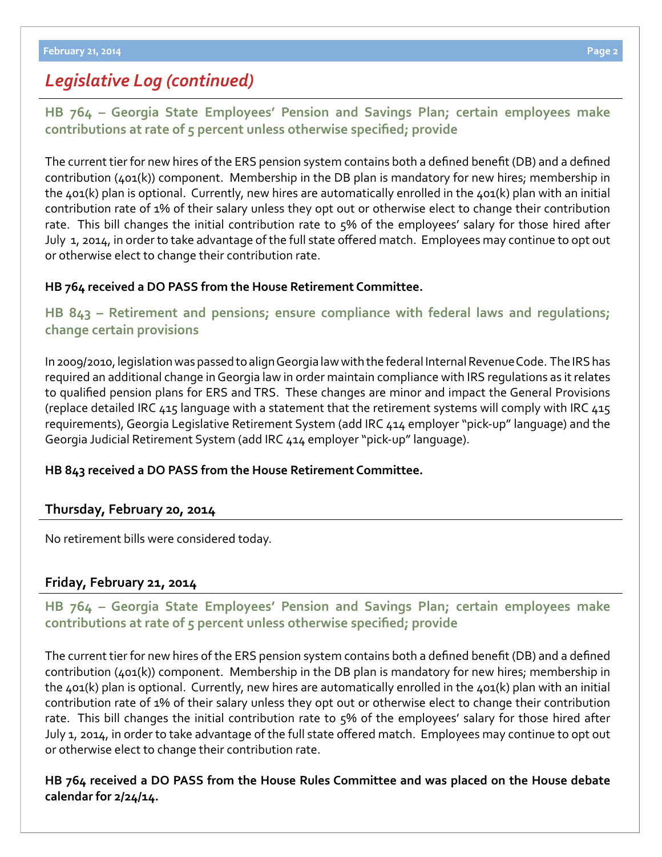# *Legislative Log (continued)*

**HB [764 – G](http://www.legis.ga.gov/legislation/en-US/Display/20132014/HB/764)eorgia State Employees' Pension and Savings Plan; certain employees make contributions at rate of 5 percent unless otherwise specified; provide**

The current tier for new hires of the ERS pension system contains both a defined benefit (DB) and a defined contribution (401(k)) component. Membership in the DB plan is mandatory for new hires; membership in the 401(k) plan is optional. Currently, new hires are automatically enrolled in the 401(k) plan with an initial contribution rate of 1% of their salary unless they opt out or otherwise elect to change their contribution rate. This bill changes the initial contribution rate to 5% of the employees' salary for those hired after July 1, 2014, in order to take advantage of the full state offered match. Employees may continue to opt out or otherwise elect to change their contribution rate.

### **HB 764 received a DO PASS from the House Retirement Committee.**

## **HB [843 – R](http://www.legis.ga.gov/legislation/en-US/Display/20132014/HB/843)etirement and pensions; ensure compliance with federal laws and regulations; change certain provisions**

In 2009/2010, legislation was passed to align Georgia law with the federal Internal Revenue Code. The IRS has required an additional change in Georgia law in order maintain compliance with IRS regulations as it relates to qualified pension plans for ERS and TRS. These changes are minor and impact the General Provisions (replace detailed IRC 415 language with a statement that the retirement systems will comply with IRC 415 requirements), Georgia Legislative Retirement System (add IRC 414 employer "pick-up" language) and the Georgia Judicial Retirement System (add IRC 414 employer "pick-up" language).

### **HB 843 received a DO PASS from the House Retirement Committee.**

## **Thursday, February 20, 2014**

No retirement bills were considered today.

### **Friday, February 21, 2014**

## **HB [764 – G](http://www.legis.ga.gov/legislation/en-US/Display/20132014/HB/764)eorgia State Employees' Pension and Savings Plan; certain employees make contributions at rate of 5 percent unless otherwise specified; provide**

The current tier for new hires of the ERS pension system contains both a defined benefit (DB) and a defined contribution (401(k)) component. Membership in the DB plan is mandatory for new hires; membership in the 401(k) plan is optional. Currently, new hires are automatically enrolled in the 401(k) plan with an initial contribution rate of 1% of their salary unless they opt out or otherwise elect to change their contribution rate. This bill changes the initial contribution rate to 5% of the employees' salary for those hired after July 1, 2014, in order to take advantage of the full state offered match. Employees may continue to opt out or otherwise elect to change their contribution rate.

### **HB 764 received a DO PASS from the House Rules Committee and was placed on the House debate calendar for 2/24/14.**